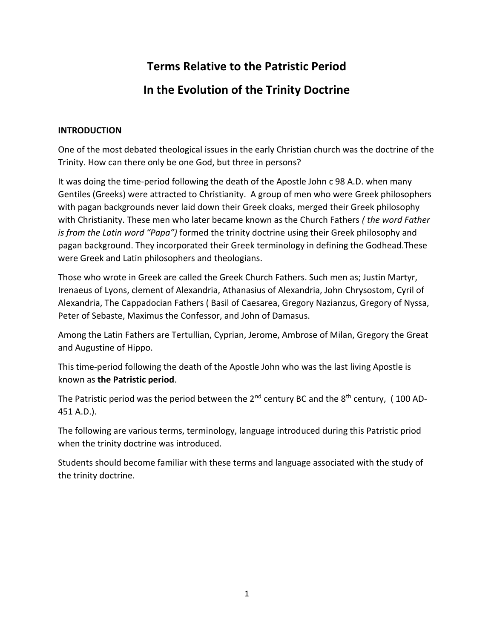# **Terms Relative to the Patristic Period In the Evolution of the Trinity Doctrine**

### **INTRODUCTION**

One of the most debated theological issues in the early Christian church was the doctrine of the Trinity. How can there only be one God, but three in persons?

It was doing the time-period following the death of the Apostle John c 98 A.D. when many Gentiles (Greeks) were attracted to Christianity. A group of men who were Greek philosophers with pagan backgrounds never laid down their Greek cloaks, merged their Greek philosophy with Christianity. These men who later became known as the Church Fathers *( the word Father is from the Latin word "Papa")* formed the trinity doctrine using their Greek philosophy and pagan background. They incorporated their Greek terminology in defining the Godhead.These were Greek and Latin philosophers and theologians.

Those who wrote in Greek are called the Greek Church Fathers. Such men as; Justin Martyr, Irenaeus of Lyons, clement of Alexandria, Athanasius of Alexandria, John Chrysostom, Cyril of Alexandria, The Cappadocian Fathers ( Basil of Caesarea, Gregory Nazianzus, Gregory of Nyssa, Peter of Sebaste, Maximus the Confessor, and John of Damasus.

Among the Latin Fathers are Tertullian, Cyprian, Jerome, Ambrose of Milan, Gregory the Great and Augustine of Hippo.

This time-period following the death of the Apostle John who was the last living Apostle is known as **the Patristic period**.

The Patristic period was the period between the  $2^{nd}$  century BC and the  $8^{th}$  century, (100 AD-451 A.D.).

The following are various terms, terminology, language introduced during this Patristic priod when the trinity doctrine was introduced.

Students should become familiar with these terms and language associated with the study of the trinity doctrine.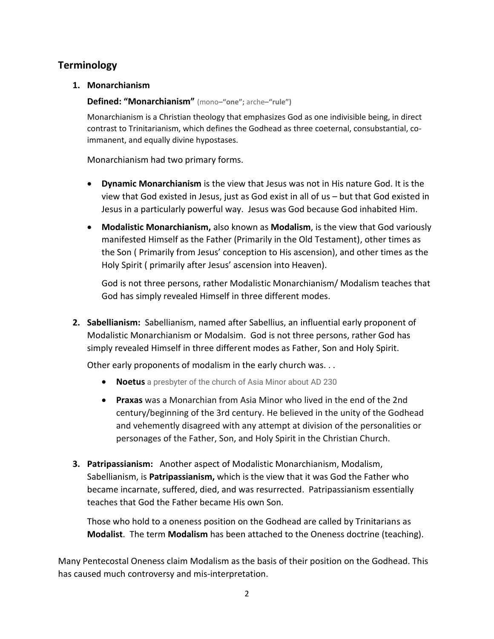## **Terminology**

**1. Monarchianism**

## **Defined: "Monarchianism"** (mono**–"one";** arche**–"rule")**

Monarchianism is a Christian theology that emphasizes God as one indivisible being, in direct contrast to Trinitarianism, which defines the Godhead as three coeternal, consubstantial, coimmanent, and equally divine hypostases.

Monarchianism had two primary forms.

- **Dynamic Monarchianism** is the view that Jesus was not in His nature God. It is the view that God existed in Jesus, just as God exist in all of us – but that God existed in Jesus in a particularly powerful way. Jesus was God because God inhabited Him.
- **Modalistic Monarchianism,** also known as **Modalism**, is the view that God variously manifested Himself as the Father (Primarily in the Old Testament), other times as the Son ( Primarily from Jesus' conception to His ascension), and other times as the Holy Spirit ( primarily after Jesus' ascension into Heaven).

God is not three persons, rather Modalistic Monarchianism/ Modalism teaches that God has simply revealed Himself in three different modes.

**2. Sabellianism:** Sabellianism, named after Sabellius, an influential early proponent of Modalistic Monarchianism or Modalsim. God is not three persons, rather God has simply revealed Himself in three different modes as Father, Son and Holy Spirit.

Other early proponents of modalism in the early church was. . .

- **Noetus** a presbyter of the church of Asia Minor about AD 230
- **Praxas** was a Monarchian from Asia Minor who lived in the end of the 2nd century/beginning of the 3rd century. He believed in the unity of the Godhead and vehemently disagreed with any attempt at division of the personalities or personages of the Father, Son, and Holy Spirit in the Christian Church.
- **3. Patripassianism:** Another aspect of Modalistic Monarchianism, Modalism, Sabellianism, is **Patripassianism,** which is the view that it was God the Father who became incarnate, suffered, died, and was resurrected. Patripassianism essentially teaches that God the Father became His own Son.

Those who hold to a oneness position on the Godhead are called by Trinitarians as **Modalist**. The term **Modalism** has been attached to the Oneness doctrine (teaching).

Many Pentecostal Oneness claim Modalism as the basis of their position on the Godhead. This has caused much controversy and mis-interpretation.